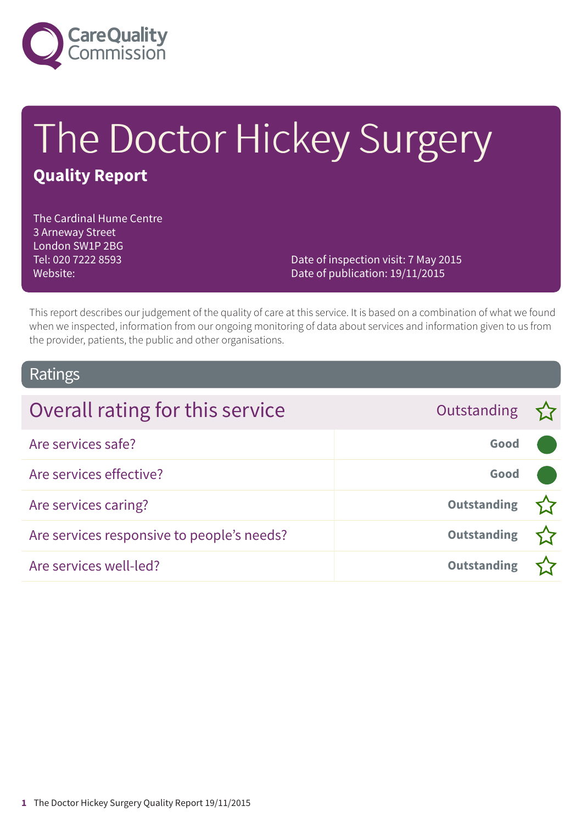

# The Doctor Hickey Surgery **Quality Report**

The Cardinal Hume Centre 3 Arneway Street London SW1P 2BG Tel: 020 7222 8593 Website:

Date of inspection visit: 7 May 2015 Date of publication: 19/11/2015

This report describes our judgement of the quality of care at this service. It is based on a combination of what we found when we inspected, information from our ongoing monitoring of data about services and information given to us from the provider, patients, the public and other organisations.

### Ratings

| Overall rating for this service            | Outstanding $\sum$ |  |
|--------------------------------------------|--------------------|--|
| Are services safe?                         | Good               |  |
| Are services effective?                    | Good               |  |
| Are services caring?                       | <b>Outstanding</b> |  |
| Are services responsive to people's needs? | <b>Outstanding</b> |  |
| Are services well-led?                     | <b>Outstanding</b> |  |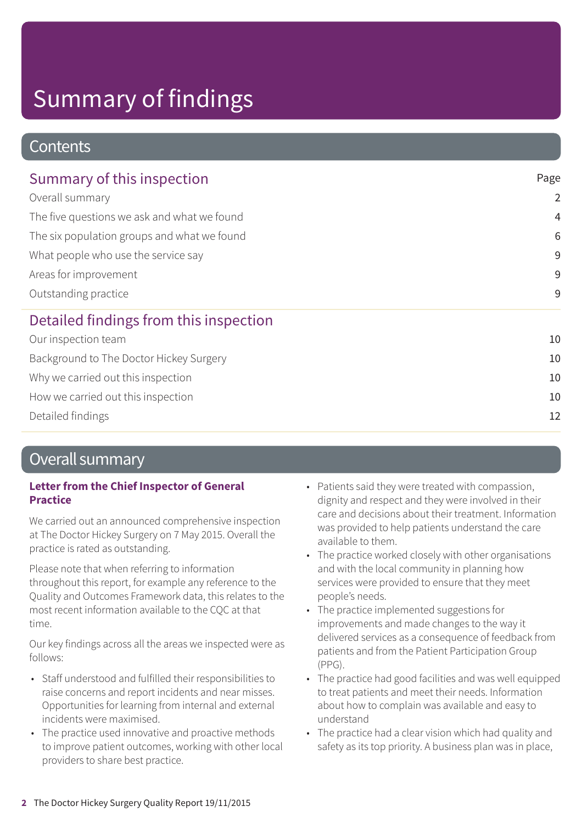## **Contents**

| Summary of this inspection                                                                                                                                                                            | Page            |  |
|-------------------------------------------------------------------------------------------------------------------------------------------------------------------------------------------------------|-----------------|--|
| Overall summary<br>The five questions we ask and what we found<br>The six population groups and what we found<br>What people who use the service say<br>Areas for improvement<br>Outstanding practice | $\overline{2}$  |  |
|                                                                                                                                                                                                       | $\overline{4}$  |  |
|                                                                                                                                                                                                       | $6\phantom{1}6$ |  |
|                                                                                                                                                                                                       | 9               |  |
|                                                                                                                                                                                                       | 9               |  |
|                                                                                                                                                                                                       | 9               |  |
| Detailed findings from this inspection                                                                                                                                                                |                 |  |
| Our inspection team                                                                                                                                                                                   | 10              |  |
| Background to The Doctor Hickey Surgery                                                                                                                                                               | 10              |  |
| Why we carried out this inspection                                                                                                                                                                    | 10              |  |
| How we carried out this inspection                                                                                                                                                                    | 10              |  |

Detailed findings 12

## Overall summary

#### **Letter from the Chief Inspector of General Practice**

We carried out an announced comprehensive inspection at The Doctor Hickey Surgery on 7 May 2015. Overall the practice is rated as outstanding.

Please note that when referring to information throughout this report, for example any reference to the Quality and Outcomes Framework data, this relates to the most recent information available to the CQC at that time.

Our key findings across all the areas we inspected were as follows:

- Staff understood and fulfilled their responsibilities to raise concerns and report incidents and near misses. Opportunities for learning from internal and external incidents were maximised.
- The practice used innovative and proactive methods to improve patient outcomes, working with other local providers to share best practice.
- Patients said they were treated with compassion, dignity and respect and they were involved in their care and decisions about their treatment. Information was provided to help patients understand the care available to them.
- The practice worked closely with other organisations and with the local community in planning how services were provided to ensure that they meet people's needs.
- The practice implemented suggestions for improvements and made changes to the way it delivered services as a consequence of feedback from patients and from the Patient Participation Group (PPG).
- The practice had good facilities and was well equipped to treat patients and meet their needs. Information about how to complain was available and easy to understand
- The practice had a clear vision which had quality and safety as its top priority. A business plan was in place,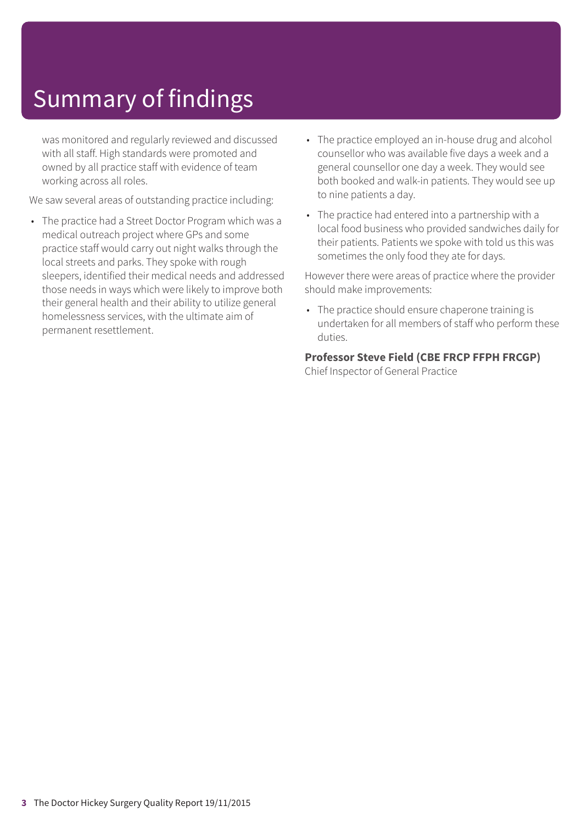was monitored and regularly reviewed and discussed with all staff. High standards were promoted and owned by all practice staff with evidence of team working across all roles.

We saw several areas of outstanding practice including:

- The practice had a Street Doctor Program which was a medical outreach project where GPs and some practice staff would carry out night walks through the local streets and parks. They spoke with rough sleepers, identified their medical needs and addressed those needs in ways which were likely to improve both their general health and their ability to utilize general homelessness services, with the ultimate aim of permanent resettlement.
- The practice employed an in-house drug and alcohol counsellor who was available five days a week and a general counsellor one day a week. They would see both booked and walk-in patients. They would see up to nine patients a day.
- The practice had entered into a partnership with a local food business who provided sandwiches daily for their patients. Patients we spoke with told us this was sometimes the only food they ate for days.

However there were areas of practice where the provider should make improvements:

• The practice should ensure chaperone training is undertaken for all members of staff who perform these duties.

#### **Professor Steve Field (CBE FRCP FFPH FRCGP)**

Chief Inspector of General Practice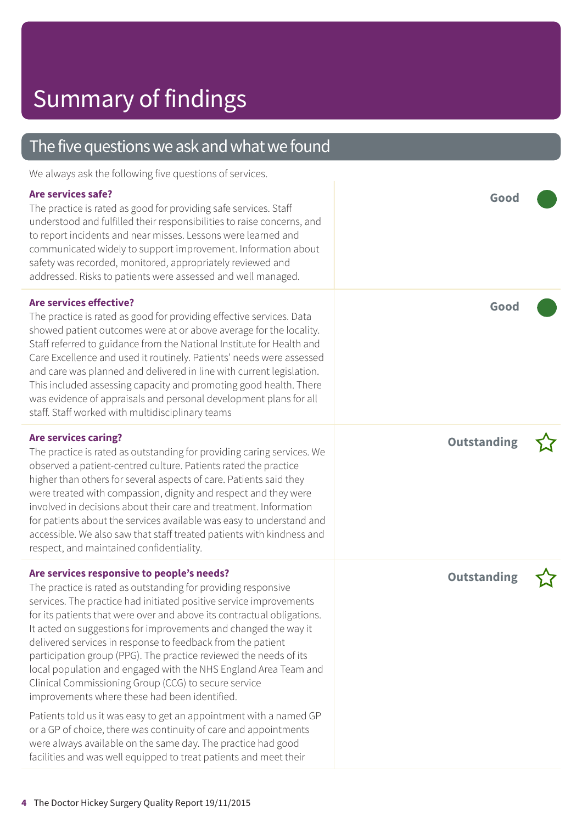## The five questions we ask and what we found

We always ask the following five questions of services.

#### **Are services safe?**

The practice is rated as good for providing safe services. Staff understood and fulfilled their responsibilities to raise concerns, and to report incidents and near misses. Lessons were learned and communicated widely to support improvement. Information about safety was recorded, monitored, appropriately reviewed and addressed. Risks to patients were assessed and well managed.

#### **Are services effective?**

The practice is rated as good for providing effective services. Data showed patient outcomes were at or above average for the locality. Staff referred to guidance from the National Institute for Health and Care Excellence and used it routinely. Patients' needs were assessed and care was planned and delivered in line with current legislation. This included assessing capacity and promoting good health. There was evidence of appraisals and personal development plans for all staff. Staff worked with multidisciplinary teams

#### **Are services caring?**

The practice is rated as outstanding for providing caring services. We observed a patient-centred culture. Patients rated the practice higher than others for several aspects of care. Patients said they were treated with compassion, dignity and respect and they were involved in decisions about their care and treatment. Information for patients about the services available was easy to understand and accessible. We also saw that staff treated patients with kindness and respect, and maintained confidentiality.

#### **Are services responsive to people's needs?**

The practice is rated as outstanding for providing responsive services. The practice had initiated positive service improvements for its patients that were over and above its contractual obligations. It acted on suggestions for improvements and changed the way it delivered services in response to feedback from the patient participation group (PPG). The practice reviewed the needs of its local population and engaged with the NHS England Area Team and Clinical Commissioning Group (CCG) to secure service improvements where these had been identified.

Patients told us it was easy to get an appointment with a named GP or a GP of choice, there was continuity of care and appointments were always available on the same day. The practice had good facilities and was well equipped to treat patients and meet their

**Good –––**

**Good –––**

**Outstanding –**



**Outstanding –**

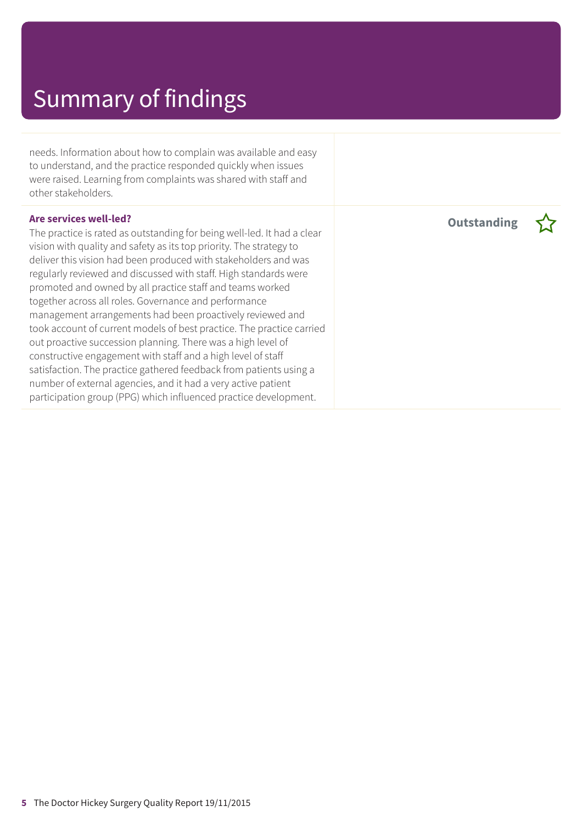needs. Information about how to complain was available and easy to understand, and the practice responded quickly when issues were raised. Learning from complaints was shared with staff and other stakeholders.

#### **Are services well-led?**

The practice is rated as outstanding for being well-led. It had a clear vision with quality and safety as its top priority. The strategy to deliver this vision had been produced with stakeholders and was regularly reviewed and discussed with staff. High standards were promoted and owned by all practice staff and teams worked together across all roles. Governance and performance management arrangements had been proactively reviewed and took account of current models of best practice. The practice carried out proactive succession planning. There was a high level of constructive engagement with staff and a high level of staff satisfaction. The practice gathered feedback from patients using a number of external agencies, and it had a very active patient participation group (PPG) which influenced practice development.

**Outstanding –**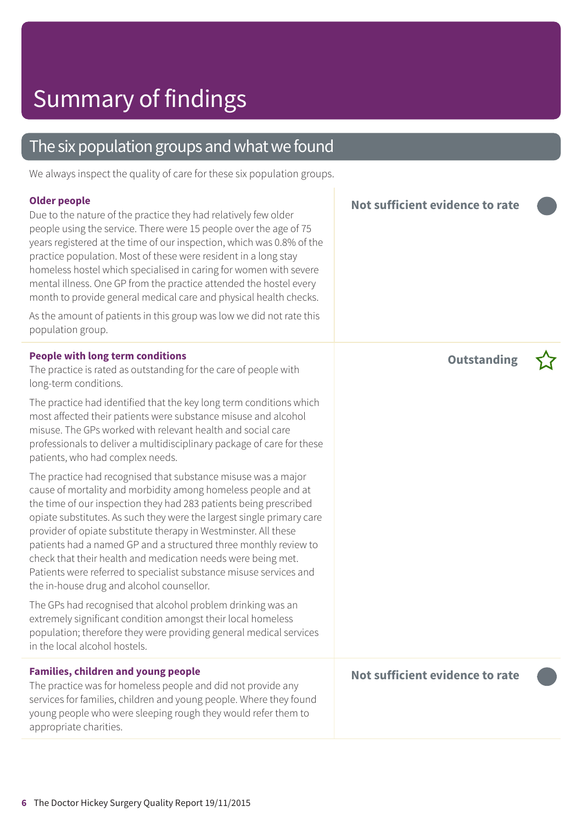## The six population groups and what we found

We always inspect the quality of care for these six population groups.

#### **Older people**

Due to the nature of the practice they had relatively few older people using the service. There were 15 people over the age of 75 years registered at the time of our inspection, which was 0.8% of the practice population. Most of these were resident in a long stay homeless hostel which specialised in caring for women with severe mental illness. One GP from the practice attended the hostel every month to provide general medical care and physical health checks.

As the amount of patients in this group was low we did not rate this population group.

#### **People with long term conditions**

The practice is rated as outstanding for the care of people with long-term conditions.

The practice had identified that the key long term conditions which most affected their patients were substance misuse and alcohol misuse. The GPs worked with relevant health and social care professionals to deliver a multidisciplinary package of care for these patients, who had complex needs.

The practice had recognised that substance misuse was a major cause of mortality and morbidity among homeless people and at the time of our inspection they had 283 patients being prescribed opiate substitutes. As such they were the largest single primary care provider of opiate substitute therapy in Westminster. All these patients had a named GP and a structured three monthly review to check that their health and medication needs were being met. Patients were referred to specialist substance misuse services and the in-house drug and alcohol counsellor.

The GPs had recognised that alcohol problem drinking was an extremely significant condition amongst their local homeless population; therefore they were providing general medical services in the local alcohol hostels.

**Families, children and young people** The practice was for homeless people and did not provide any services for families, children and young people. Where they found young people who were sleeping rough they would refer them to appropriate charities.

**Not sufficient evidence to rate –––**

**Outstanding –**



**Not sufficient evidence to rate –––**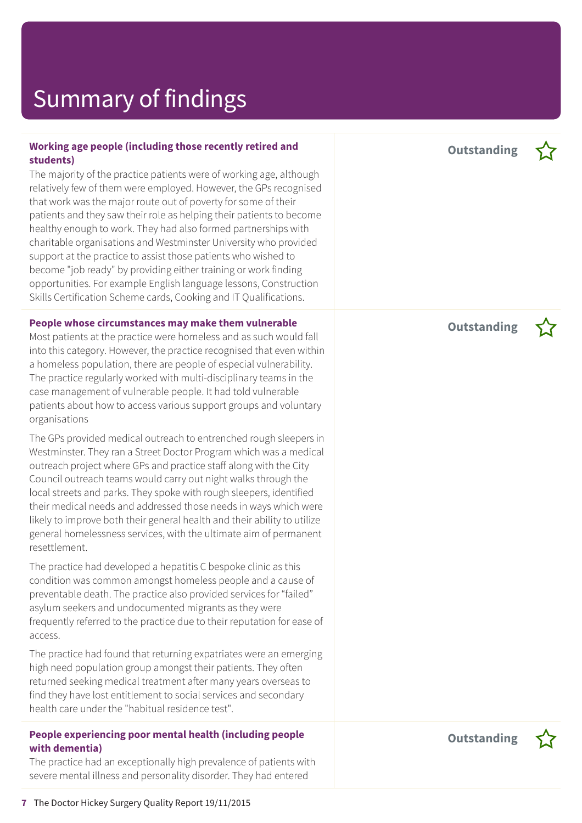#### **Working age people (including those recently retired and students)**

The majority of the practice patients were of working age, although relatively few of them were employed. However, the GPs recognised that work was the major route out of poverty for some of their patients and they saw their role as helping their patients to become healthy enough to work. They had also formed partnerships with charitable organisations and Westminster University who provided support at the practice to assist those patients who wished to become "job ready" by providing either training or work finding opportunities. For example English language lessons, Construction Skills Certification Scheme cards, Cooking and IT Qualifications.

#### **People whose circumstances may make them vulnerable**

Most patients at the practice were homeless and as such would fall into this category. However, the practice recognised that even within a homeless population, there are people of especial vulnerability. The practice regularly worked with multi-disciplinary teams in the case management of vulnerable people. It had told vulnerable patients about how to access various support groups and voluntary organisations

The GPs provided medical outreach to entrenched rough sleepers in Westminster. They ran a Street Doctor Program which was a medical outreach project where GPs and practice staff along with the City Council outreach teams would carry out night walks through the local streets and parks. They spoke with rough sleepers, identified their medical needs and addressed those needs in ways which were likely to improve both their general health and their ability to utilize general homelessness services, with the ultimate aim of permanent resettlement.

The practice had developed a hepatitis C bespoke clinic as this condition was common amongst homeless people and a cause of preventable death. The practice also provided services for "failed" asylum seekers and undocumented migrants as they were frequently referred to the practice due to their reputation for ease of access.

The practice had found that returning expatriates were an emerging high need population group amongst their patients. They often returned seeking medical treatment after many years overseas to find they have lost entitlement to social services and secondary health care under the "habitual residence test".

#### **People experiencing poor mental health (including people with dementia)**

The practice had an exceptionally high prevalence of patients with severe mental illness and personality disorder. They had entered

**Outstanding –**



**Outstanding –**



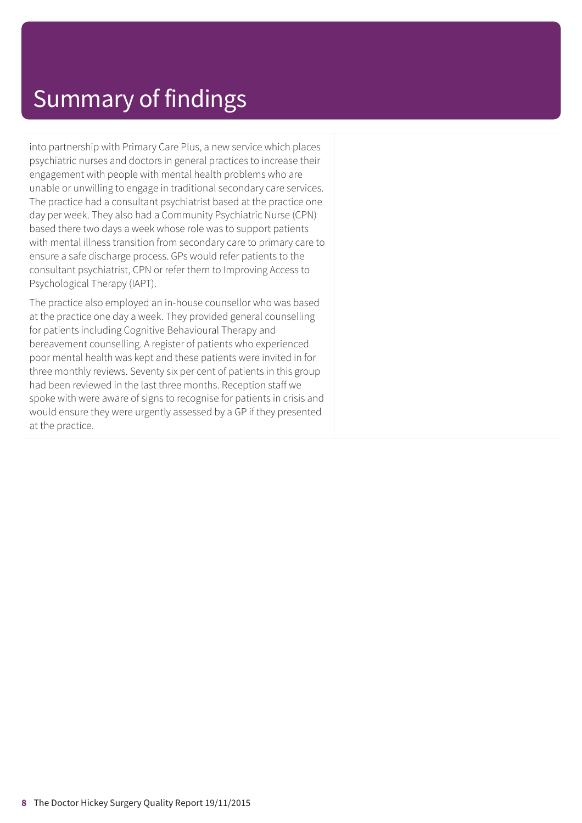into partnership with Primary Care Plus, a new service which places psychiatric nurses and doctors in general practices to increase their engagement with people with mental health problems who are unable or unwilling to engage in traditional secondary care services. The practice had a consultant psychiatrist based at the practice one day per week. They also had a Community Psychiatric Nurse (CPN) based there two days a week whose role was to support patients with mental illness transition from secondary care to primary care to ensure a safe discharge process. GPs would refer patients to the consultant psychiatrist, CPN or refer them to Improving Access to Psychological Therapy (IAPT).

The practice also employed an in-house counsellor who was based at the practice one day a week. They provided general counselling for patients including Cognitive Behavioural Therapy and bereavement counselling. A register of patients who experienced poor mental health was kept and these patients were invited in for three monthly reviews. Seventy six per cent of patients in this group had been reviewed in the last three months. Reception staff we spoke with were aware of signs to recognise for patients in crisis and would ensure they were urgently assessed by a GP if they presented at the practice.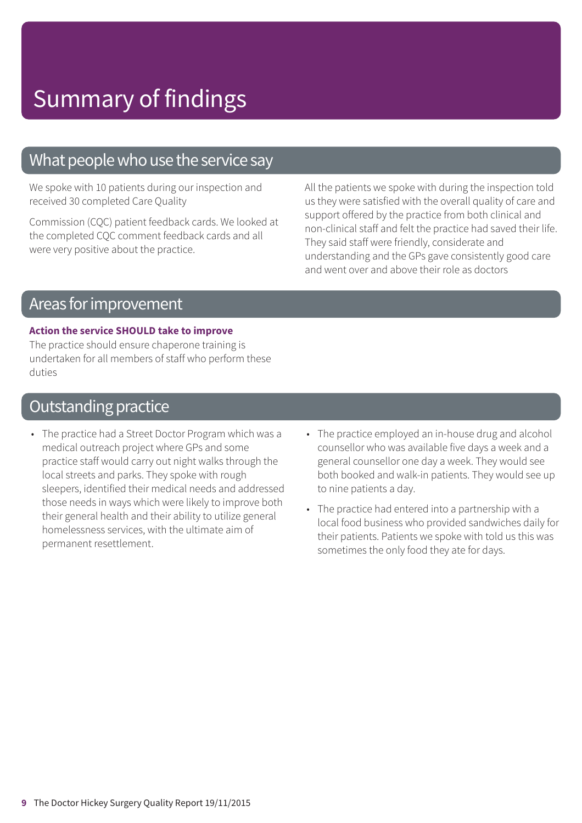### What people who use the service say

We spoke with 10 patients during our inspection and received 30 completed Care Quality

Commission (CQC) patient feedback cards. We looked at the completed CQC comment feedback cards and all were very positive about the practice.

All the patients we spoke with during the inspection told us they were satisfied with the overall quality of care and support offered by the practice from both clinical and non-clinical staff and felt the practice had saved their life. They said staff were friendly, considerate and understanding and the GPs gave consistently good care and went over and above their role as doctors

## Areas forimprovement

#### **Action the service SHOULD take to improve**

The practice should ensure chaperone training is undertaken for all members of staff who perform these duties

## **Outstanding practice**

- The practice had a Street Doctor Program which was a medical outreach project where GPs and some practice staff would carry out night walks through the local streets and parks. They spoke with rough sleepers, identified their medical needs and addressed those needs in ways which were likely to improve both their general health and their ability to utilize general homelessness services, with the ultimate aim of permanent resettlement.
- The practice employed an in-house drug and alcohol counsellor who was available five days a week and a general counsellor one day a week. They would see both booked and walk-in patients. They would see up to nine patients a day.
- The practice had entered into a partnership with a local food business who provided sandwiches daily for their patients. Patients we spoke with told us this was sometimes the only food they ate for days.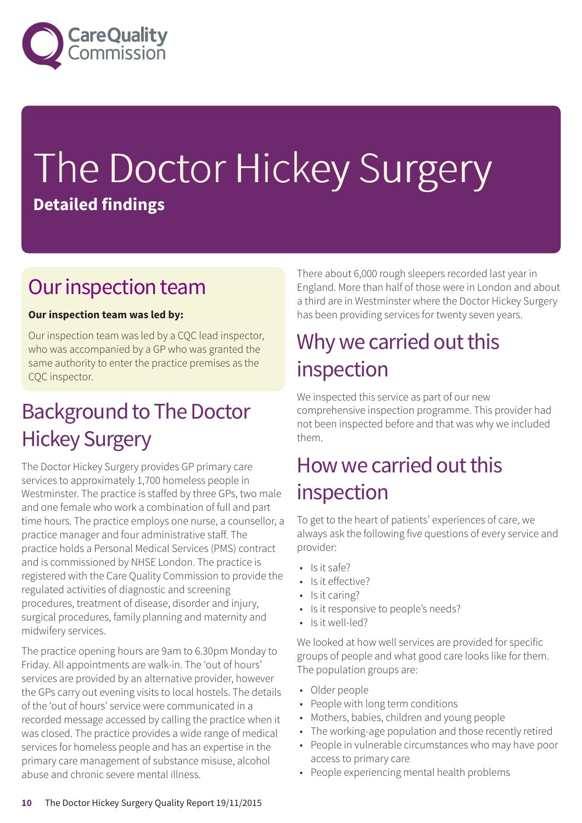

# The Doctor Hickey Surgery **Detailed findings**

## Our inspection team

#### **Our inspection team was led by:**

Our inspection team was led by a CQC lead inspector, who was accompanied by a GP who was granted the same authority to enter the practice premises as the CQC inspector.

## **Background to The Doctor** Hickey Surgery

The Doctor Hickey Surgery provides GP primary care services to approximately 1,700 homeless people in Westminster. The practice is staffed by three GPs, two male and one female who work a combination of full and part time hours. The practice employs one nurse, a counsellor, a practice manager and four administrative staff. The practice holds a Personal Medical Services (PMS) contract and is commissioned by NHSE London. The practice is registered with the Care Quality Commission to provide the regulated activities of diagnostic and screening procedures, treatment of disease, disorder and injury, surgical procedures, family planning and maternity and midwifery services.

The practice opening hours are 9am to 6.30pm Monday to Friday. All appointments are walk-in. The 'out of hours' services are provided by an alternative provider, however the GPs carry out evening visits to local hostels. The details of the 'out of hours' service were communicated in a recorded message accessed by calling the practice when it was closed. The practice provides a wide range of medical services for homeless people and has an expertise in the primary care management of substance misuse, alcohol abuse and chronic severe mental illness.

There about 6,000 rough sleepers recorded last year in England. More than half of those were in London and about a third are in Westminster where the Doctor Hickey Surgery has been providing services for twenty seven years.

## Why we carried out this inspection

We inspected this service as part of our new comprehensive inspection programme. This provider had not been inspected before and that was why we included them.

## How we carried out this inspection

To get to the heart of patients' experiences of care, we always ask the following five questions of every service and provider:

- Is it safe?
- Is it effective?
- Is it caring?
- Is it responsive to people's needs?
- Is it well-led?

We looked at how well services are provided for specific groups of people and what good care looks like for them. The population groups are:

- Older people
- People with long term conditions
- Mothers, babies, children and young people
- The working-age population and those recently retired
- People in vulnerable circumstances who may have poor access to primary care
- People experiencing mental health problems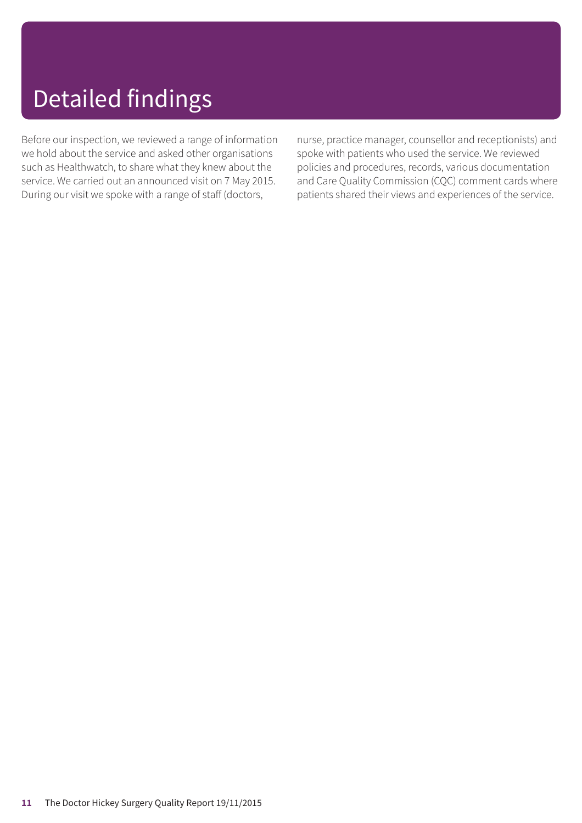# Detailed findings

Before our inspection, we reviewed a range of information we hold about the service and asked other organisations such as Healthwatch, to share what they knew about the service. We carried out an announced visit on 7 May 2015. During our visit we spoke with a range of staff (doctors,

nurse, practice manager, counsellor and receptionists) and spoke with patients who used the service. We reviewed policies and procedures, records, various documentation and Care Quality Commission (CQC) comment cards where patients shared their views and experiences of the service.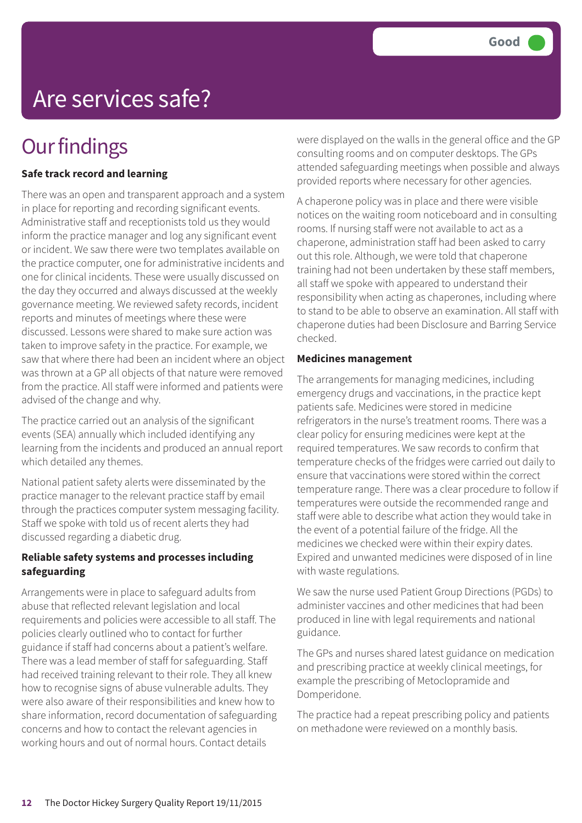# Are services safe?

## **Our findings**

#### **Safe track record and learning**

There was an open and transparent approach and a system in place for reporting and recording significant events. Administrative staff and receptionists told us they would inform the practice manager and log any significant event or incident. We saw there were two templates available on the practice computer, one for administrative incidents and one for clinical incidents. These were usually discussed on the day they occurred and always discussed at the weekly governance meeting. We reviewed safety records, incident reports and minutes of meetings where these were discussed. Lessons were shared to make sure action was taken to improve safety in the practice. For example, we saw that where there had been an incident where an object was thrown at a GP all objects of that nature were removed from the practice. All staff were informed and patients were advised of the change and why.

The practice carried out an analysis of the significant events (SEA) annually which included identifying any learning from the incidents and produced an annual report which detailed any themes.

National patient safety alerts were disseminated by the practice manager to the relevant practice staff by email through the practices computer system messaging facility. Staff we spoke with told us of recent alerts they had discussed regarding a diabetic drug.

#### **Reliable safety systems and processes including safeguarding**

Arrangements were in place to safeguard adults from abuse that reflected relevant legislation and local requirements and policies were accessible to all staff. The policies clearly outlined who to contact for further guidance if staff had concerns about a patient's welfare. There was a lead member of staff for safeguarding. Staff had received training relevant to their role. They all knew how to recognise signs of abuse vulnerable adults. They were also aware of their responsibilities and knew how to share information, record documentation of safeguarding concerns and how to contact the relevant agencies in working hours and out of normal hours. Contact details

were displayed on the walls in the general office and the GP consulting rooms and on computer desktops. The GPs attended safeguarding meetings when possible and always provided reports where necessary for other agencies.

A chaperone policy was in place and there were visible notices on the waiting room noticeboard and in consulting rooms. If nursing staff were not available to act as a chaperone, administration staff had been asked to carry out this role. Although, we were told that chaperone training had not been undertaken by these staff members, all staff we spoke with appeared to understand their responsibility when acting as chaperones, including where to stand to be able to observe an examination. All staff with chaperone duties had been Disclosure and Barring Service checked.

#### **Medicines management**

The arrangements for managing medicines, including emergency drugs and vaccinations, in the practice kept patients safe. Medicines were stored in medicine refrigerators in the nurse's treatment rooms. There was a clear policy for ensuring medicines were kept at the required temperatures. We saw records to confirm that temperature checks of the fridges were carried out daily to ensure that vaccinations were stored within the correct temperature range. There was a clear procedure to follow if temperatures were outside the recommended range and staff were able to describe what action they would take in the event of a potential failure of the fridge. All the medicines we checked were within their expiry dates. Expired and unwanted medicines were disposed of in line with waste regulations.

We saw the nurse used Patient Group Directions (PGDs) to administer vaccines and other medicines that had been produced in line with legal requirements and national guidance.

The GPs and nurses shared latest guidance on medication and prescribing practice at weekly clinical meetings, for example the prescribing of Metoclopramide and Domperidone.

The practice had a repeat prescribing policy and patients on methadone were reviewed on a monthly basis.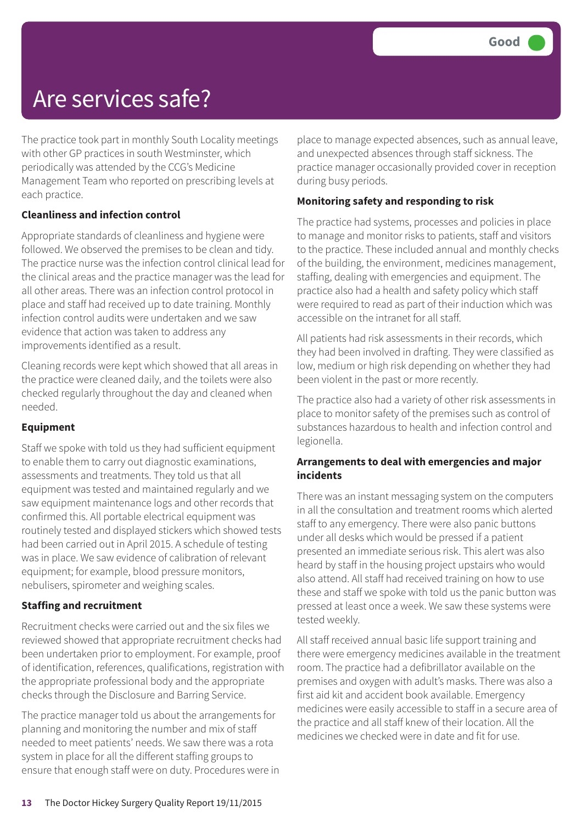## Are services safe?

The practice took part in monthly South Locality meetings with other GP practices in south Westminster, which periodically was attended by the CCG's Medicine Management Team who reported on prescribing levels at each practice.

#### **Cleanliness and infection control**

Appropriate standards of cleanliness and hygiene were followed. We observed the premises to be clean and tidy. The practice nurse was the infection control clinical lead for the clinical areas and the practice manager was the lead for all other areas. There was an infection control protocol in place and staff had received up to date training. Monthly infection control audits were undertaken and we saw evidence that action was taken to address any improvements identified as a result.

Cleaning records were kept which showed that all areas in the practice were cleaned daily, and the toilets were also checked regularly throughout the day and cleaned when needed.

#### **Equipment**

Staff we spoke with told us they had sufficient equipment to enable them to carry out diagnostic examinations, assessments and treatments. They told us that all equipment was tested and maintained regularly and we saw equipment maintenance logs and other records that confirmed this. All portable electrical equipment was routinely tested and displayed stickers which showed tests had been carried out in April 2015. A schedule of testing was in place. We saw evidence of calibration of relevant equipment; for example, blood pressure monitors, nebulisers, spirometer and weighing scales.

#### **Staffing and recruitment**

Recruitment checks were carried out and the six files we reviewed showed that appropriate recruitment checks had been undertaken prior to employment. For example, proof of identification, references, qualifications, registration with the appropriate professional body and the appropriate checks through the Disclosure and Barring Service.

The practice manager told us about the arrangements for planning and monitoring the number and mix of staff needed to meet patients' needs. We saw there was a rota system in place for all the different staffing groups to ensure that enough staff were on duty. Procedures were in place to manage expected absences, such as annual leave, and unexpected absences through staff sickness. The practice manager occasionally provided cover in reception during busy periods.

#### **Monitoring safety and responding to risk**

The practice had systems, processes and policies in place to manage and monitor risks to patients, staff and visitors to the practice. These included annual and monthly checks of the building, the environment, medicines management, staffing, dealing with emergencies and equipment. The practice also had a health and safety policy which staff were required to read as part of their induction which was accessible on the intranet for all staff.

All patients had risk assessments in their records, which they had been involved in drafting. They were classified as low, medium or high risk depending on whether they had been violent in the past or more recently.

The practice also had a variety of other risk assessments in place to monitor safety of the premises such as control of substances hazardous to health and infection control and legionella.

#### **Arrangements to deal with emergencies and major incidents**

There was an instant messaging system on the computers in all the consultation and treatment rooms which alerted staff to any emergency. There were also panic buttons under all desks which would be pressed if a patient presented an immediate serious risk. This alert was also heard by staff in the housing project upstairs who would also attend. All staff had received training on how to use these and staff we spoke with told us the panic button was pressed at least once a week. We saw these systems were tested weekly.

All staff received annual basic life support training and there were emergency medicines available in the treatment room. The practice had a defibrillator available on the premises and oxygen with adult's masks. There was also a first aid kit and accident book available. Emergency medicines were easily accessible to staff in a secure area of the practice and all staff knew of their location. All the medicines we checked were in date and fit for use.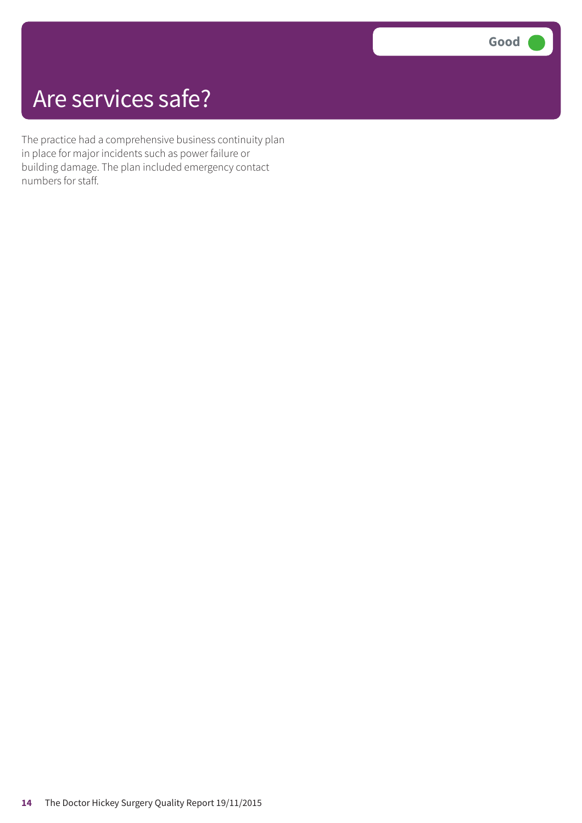## Are services safe?

The practice had a comprehensive business continuity plan in place for major incidents such as power failure or building damage. The plan included emergency contact numbers for staff.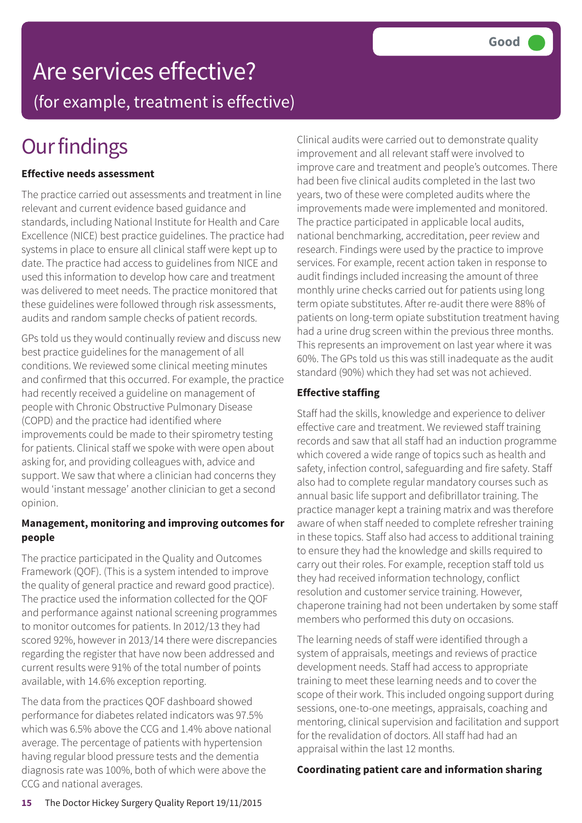## Are services effective? (for example, treatment is effective)

# **Our findings**

#### **Effective needs assessment**

The practice carried out assessments and treatment in line relevant and current evidence based guidance and standards, including National Institute for Health and Care Excellence (NICE) best practice guidelines. The practice had systems in place to ensure all clinical staff were kept up to date. The practice had access to guidelines from NICE and used this information to develop how care and treatment was delivered to meet needs. The practice monitored that these guidelines were followed through risk assessments, audits and random sample checks of patient records.

GPs told us they would continually review and discuss new best practice guidelines for the management of all conditions. We reviewed some clinical meeting minutes and confirmed that this occurred. For example, the practice had recently received a guideline on management of people with Chronic Obstructive Pulmonary Disease (COPD) and the practice had identified where improvements could be made to their spirometry testing for patients. Clinical staff we spoke with were open about asking for, and providing colleagues with, advice and support. We saw that where a clinician had concerns they would 'instant message' another clinician to get a second opinion.

#### **Management, monitoring and improving outcomes for people**

The practice participated in the Quality and Outcomes Framework (QOF). (This is a system intended to improve the quality of general practice and reward good practice). The practice used the information collected for the QOF and performance against national screening programmes to monitor outcomes for patients. In 2012/13 they had scored 92%, however in 2013/14 there were discrepancies regarding the register that have now been addressed and current results were 91% of the total number of points available, with 14.6% exception reporting.

The data from the practices QOF dashboard showed performance for diabetes related indicators was 97.5% which was 6.5% above the CCG and 1.4% above national average. The percentage of patients with hypertension having regular blood pressure tests and the dementia diagnosis rate was 100%, both of which were above the CCG and national averages.

Clinical audits were carried out to demonstrate quality improvement and all relevant staff were involved to improve care and treatment and people's outcomes. There had been five clinical audits completed in the last two years, two of these were completed audits where the improvements made were implemented and monitored. The practice participated in applicable local audits, national benchmarking, accreditation, peer review and research. Findings were used by the practice to improve services. For example, recent action taken in response to audit findings included increasing the amount of three monthly urine checks carried out for patients using long term opiate substitutes. After re-audit there were 88% of patients on long-term opiate substitution treatment having had a urine drug screen within the previous three months. This represents an improvement on last year where it was 60%. The GPs told us this was still inadequate as the audit standard (90%) which they had set was not achieved.

#### **Effective staffing**

Staff had the skills, knowledge and experience to deliver effective care and treatment. We reviewed staff training records and saw that all staff had an induction programme which covered a wide range of topics such as health and safety, infection control, safeguarding and fire safety. Staff also had to complete regular mandatory courses such as annual basic life support and defibrillator training. The practice manager kept a training matrix and was therefore aware of when staff needed to complete refresher training in these topics. Staff also had access to additional training to ensure they had the knowledge and skills required to carry out their roles. For example, reception staff told us they had received information technology, conflict resolution and customer service training. However, chaperone training had not been undertaken by some staff members who performed this duty on occasions.

The learning needs of staff were identified through a system of appraisals, meetings and reviews of practice development needs. Staff had access to appropriate training to meet these learning needs and to cover the scope of their work. This included ongoing support during sessions, one-to-one meetings, appraisals, coaching and mentoring, clinical supervision and facilitation and support for the revalidation of doctors. All staff had had an appraisal within the last 12 months.

#### **Coordinating patient care and information sharing**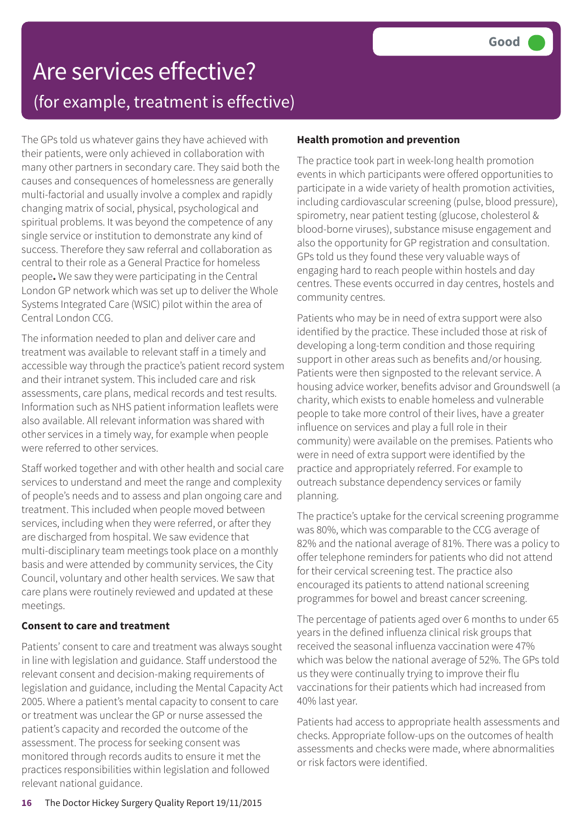## Are services effective? (for example, treatment is effective)

The GPs told us whatever gains they have achieved with their patients, were only achieved in collaboration with many other partners in secondary care. They said both the causes and consequences of homelessness are generally multi-factorial and usually involve a complex and rapidly changing matrix of social, physical, psychological and spiritual problems. It was beyond the competence of any single service or institution to demonstrate any kind of success. Therefore they saw referral and collaboration as central to their role as a General Practice for homeless people**.** We saw they were participating in the Central London GP network which was set up to deliver the Whole Systems Integrated Care (WSIC) pilot within the area of Central London CCG.

The information needed to plan and deliver care and treatment was available to relevant staff in a timely and accessible way through the practice's patient record system and their intranet system. This included care and risk assessments, care plans, medical records and test results. Information such as NHS patient information leaflets were also available. All relevant information was shared with other services in a timely way, for example when people were referred to other services.

Staff worked together and with other health and social care services to understand and meet the range and complexity of people's needs and to assess and plan ongoing care and treatment. This included when people moved between services, including when they were referred, or after they are discharged from hospital. We saw evidence that multi-disciplinary team meetings took place on a monthly basis and were attended by community services, the City Council, voluntary and other health services. We saw that care plans were routinely reviewed and updated at these meetings.

#### **Consent to care and treatment**

Patients' consent to care and treatment was always sought in line with legislation and guidance. Staff understood the relevant consent and decision-making requirements of legislation and guidance, including the Mental Capacity Act 2005. Where a patient's mental capacity to consent to care or treatment was unclear the GP or nurse assessed the patient's capacity and recorded the outcome of the assessment. The process for seeking consent was monitored through records audits to ensure it met the practices responsibilities within legislation and followed relevant national guidance.

#### **Health promotion and prevention**

The practice took part in week-long health promotion events in which participants were offered opportunities to participate in a wide variety of health promotion activities, including cardiovascular screening (pulse, blood pressure), spirometry, near patient testing (glucose, cholesterol & blood-borne viruses), substance misuse engagement and also the opportunity for GP registration and consultation. GPs told us they found these very valuable ways of engaging hard to reach people within hostels and day centres. These events occurred in day centres, hostels and community centres.

Patients who may be in need of extra support were also identified by the practice. These included those at risk of developing a long-term condition and those requiring support in other areas such as benefits and/or housing. Patients were then signposted to the relevant service. A housing advice worker, benefits advisor and Groundswell (a charity, which exists to enable homeless and vulnerable people to take more control of their lives, have a greater influence on services and play a full role in their community) were available on the premises. Patients who were in need of extra support were identified by the practice and appropriately referred. For example to outreach substance dependency services or family planning.

The practice's uptake for the cervical screening programme was 80%, which was comparable to the CCG average of 82% and the national average of 81%. There was a policy to offer telephone reminders for patients who did not attend for their cervical screening test. The practice also encouraged its patients to attend national screening programmes for bowel and breast cancer screening.

The percentage of patients aged over 6 months to under 65 years in the defined influenza clinical risk groups that received the seasonal influenza vaccination were 47% which was below the national average of 52%. The GPs told us they were continually trying to improve their flu vaccinations for their patients which had increased from 40% last year.

Patients had access to appropriate health assessments and checks. Appropriate follow-ups on the outcomes of health assessments and checks were made, where abnormalities or risk factors were identified.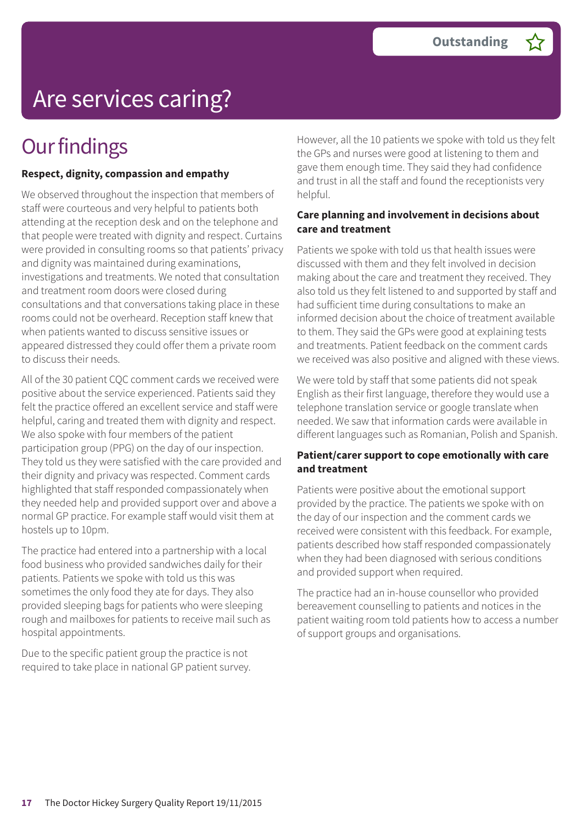# Are services caring?

## **Our findings**

#### **Respect, dignity, compassion and empathy**

We observed throughout the inspection that members of staff were courteous and very helpful to patients both attending at the reception desk and on the telephone and that people were treated with dignity and respect. Curtains were provided in consulting rooms so that patients' privacy and dignity was maintained during examinations, investigations and treatments. We noted that consultation and treatment room doors were closed during consultations and that conversations taking place in these rooms could not be overheard. Reception staff knew that when patients wanted to discuss sensitive issues or appeared distressed they could offer them a private room to discuss their needs.

All of the 30 patient CQC comment cards we received were positive about the service experienced. Patients said they felt the practice offered an excellent service and staff were helpful, caring and treated them with dignity and respect. We also spoke with four members of the patient participation group (PPG) on the day of our inspection. They told us they were satisfied with the care provided and their dignity and privacy was respected. Comment cards highlighted that staff responded compassionately when they needed help and provided support over and above a normal GP practice. For example staff would visit them at hostels up to 10pm.

The practice had entered into a partnership with a local food business who provided sandwiches daily for their patients. Patients we spoke with told us this was sometimes the only food they ate for days. They also provided sleeping bags for patients who were sleeping rough and mailboxes for patients to receive mail such as hospital appointments.

Due to the specific patient group the practice is not required to take place in national GP patient survey. However, all the 10 patients we spoke with told us they felt the GPs and nurses were good at listening to them and gave them enough time. They said they had confidence and trust in all the staff and found the receptionists very helpful.

#### **Care planning and involvement in decisions about care and treatment**

Patients we spoke with told us that health issues were discussed with them and they felt involved in decision making about the care and treatment they received. They also told us they felt listened to and supported by staff and had sufficient time during consultations to make an informed decision about the choice of treatment available to them. They said the GPs were good at explaining tests and treatments. Patient feedback on the comment cards we received was also positive and aligned with these views.

We were told by staff that some patients did not speak English as their first language, therefore they would use a telephone translation service or google translate when needed. We saw that information cards were available in different languages such as Romanian, Polish and Spanish.

#### **Patient/carer support to cope emotionally with care and treatment**

Patients were positive about the emotional support provided by the practice. The patients we spoke with on the day of our inspection and the comment cards we received were consistent with this feedback. For example, patients described how staff responded compassionately when they had been diagnosed with serious conditions and provided support when required.

The practice had an in-house counsellor who provided bereavement counselling to patients and notices in the patient waiting room told patients how to access a number of support groups and organisations.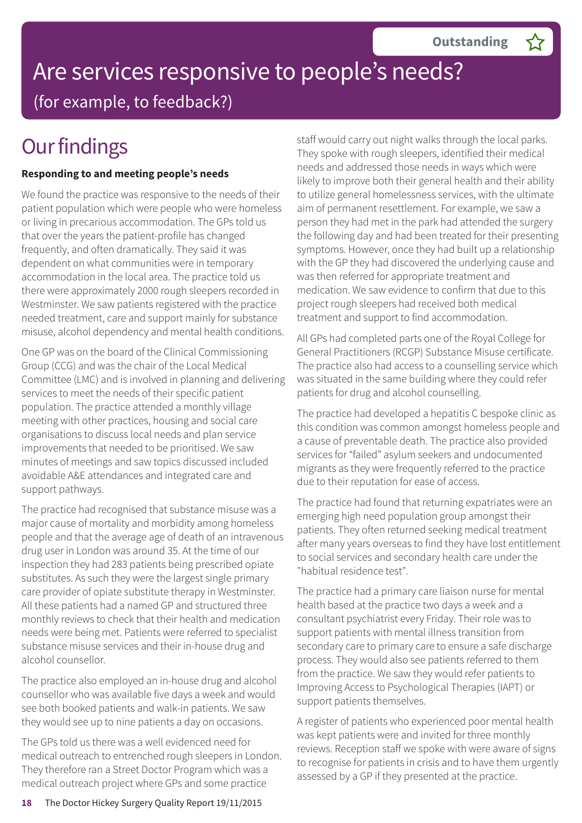

## Are services responsive to people's needs? (for example, to feedback?)

## **Our findings**

#### **Responding to and meeting people's needs**

We found the practice was responsive to the needs of their patient population which were people who were homeless or living in precarious accommodation. The GPs told us that over the years the patient-profile has changed frequently, and often dramatically. They said it was dependent on what communities were in temporary accommodation in the local area. The practice told us there were approximately 2000 rough sleepers recorded in Westminster. We saw patients registered with the practice needed treatment, care and support mainly for substance misuse, alcohol dependency and mental health conditions.

One GP was on the board of the Clinical Commissioning Group (CCG) and was the chair of the Local Medical Committee (LMC) and is involved in planning and delivering services to meet the needs of their specific patient population. The practice attended a monthly village meeting with other practices, housing and social care organisations to discuss local needs and plan service improvements that needed to be prioritised. We saw minutes of meetings and saw topics discussed included avoidable A&E attendances and integrated care and support pathways.

The practice had recognised that substance misuse was a major cause of mortality and morbidity among homeless people and that the average age of death of an intravenous drug user in London was around 35. At the time of our inspection they had 283 patients being prescribed opiate substitutes. As such they were the largest single primary care provider of opiate substitute therapy in Westminster. All these patients had a named GP and structured three monthly reviews to check that their health and medication needs were being met. Patients were referred to specialist substance misuse services and their in-house drug and alcohol counsellor.

The practice also employed an in-house drug and alcohol counsellor who was available five days a week and would see both booked patients and walk-in patients. We saw they would see up to nine patients a day on occasions.

The GPs told us there was a well evidenced need for medical outreach to entrenched rough sleepers in London. They therefore ran a Street Doctor Program which was a medical outreach project where GPs and some practice

staff would carry out night walks through the local parks. They spoke with rough sleepers, identified their medical needs and addressed those needs in ways which were likely to improve both their general health and their ability to utilize general homelessness services, with the ultimate aim of permanent resettlement. For example, we saw a person they had met in the park had attended the surgery the following day and had been treated for their presenting symptoms. However, once they had built up a relationship with the GP they had discovered the underlying cause and was then referred for appropriate treatment and medication. We saw evidence to confirm that due to this project rough sleepers had received both medical treatment and support to find accommodation.

All GPs had completed parts one of the Royal College for General Practitioners (RCGP) Substance Misuse certificate. The practice also had access to a counselling service which was situated in the same building where they could refer patients for drug and alcohol counselling.

The practice had developed a hepatitis C bespoke clinic as this condition was common amongst homeless people and a cause of preventable death. The practice also provided services for "failed" asylum seekers and undocumented migrants as they were frequently referred to the practice due to their reputation for ease of access.

The practice had found that returning expatriates were an emerging high need population group amongst their patients. They often returned seeking medical treatment after many years overseas to find they have lost entitlement to social services and secondary health care under the "habitual residence test".

The practice had a primary care liaison nurse for mental health based at the practice two days a week and a consultant psychiatrist every Friday. Their role was to support patients with mental illness transition from secondary care to primary care to ensure a safe discharge process. They would also see patients referred to them from the practice. We saw they would refer patients to Improving Access to Psychological Therapies (IAPT) or support patients themselves.

A register of patients who experienced poor mental health was kept patients were and invited for three monthly reviews. Reception staff we spoke with were aware of signs to recognise for patients in crisis and to have them urgently assessed by a GP if they presented at the practice.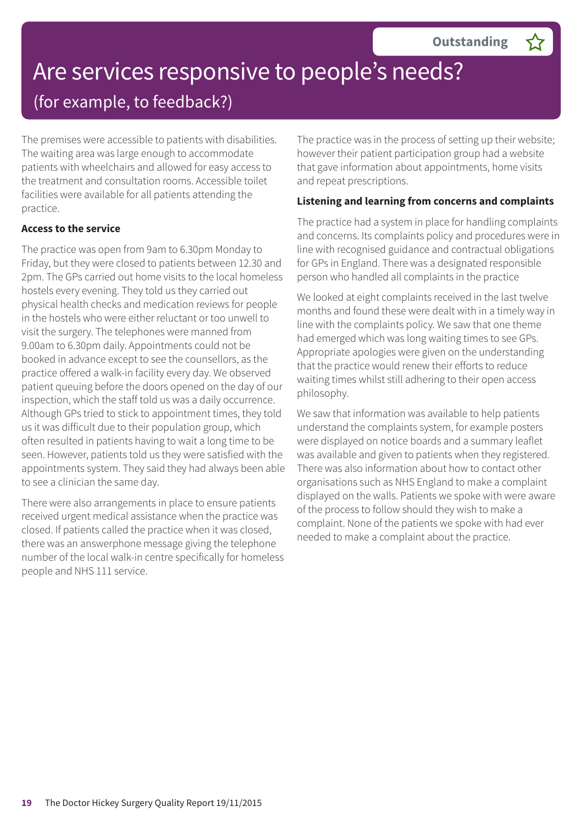# Are services responsive to people's needs?

(for example, to feedback?)

The premises were accessible to patients with disabilities. The waiting area was large enough to accommodate patients with wheelchairs and allowed for easy access to the treatment and consultation rooms. Accessible toilet facilities were available for all patients attending the practice.

#### **Access to the service**

The practice was open from 9am to 6.30pm Monday to Friday, but they were closed to patients between 12.30 and 2pm. The GPs carried out home visits to the local homeless hostels every evening. They told us they carried out physical health checks and medication reviews for people in the hostels who were either reluctant or too unwell to visit the surgery. The telephones were manned from 9.00am to 6.30pm daily. Appointments could not be booked in advance except to see the counsellors, as the practice offered a walk-in facility every day. We observed patient queuing before the doors opened on the day of our inspection, which the staff told us was a daily occurrence. Although GPs tried to stick to appointment times, they told us it was difficult due to their population group, which often resulted in patients having to wait a long time to be seen. However, patients told us they were satisfied with the appointments system. They said they had always been able to see a clinician the same day.

There were also arrangements in place to ensure patients received urgent medical assistance when the practice was closed. If patients called the practice when it was closed, there was an answerphone message giving the telephone number of the local walk-in centre specifically for homeless people and NHS 111 service.

The practice was in the process of setting up their website; however their patient participation group had a website that gave information about appointments, home visits and repeat prescriptions.

#### **Listening and learning from concerns and complaints**

The practice had a system in place for handling complaints and concerns. Its complaints policy and procedures were in line with recognised guidance and contractual obligations for GPs in England. There was a designated responsible person who handled all complaints in the practice

We looked at eight complaints received in the last twelve months and found these were dealt with in a timely way in line with the complaints policy. We saw that one theme had emerged which was long waiting times to see GPs. Appropriate apologies were given on the understanding that the practice would renew their efforts to reduce waiting times whilst still adhering to their open access philosophy.

We saw that information was available to help patients understand the complaints system, for example posters were displayed on notice boards and a summary leaflet was available and given to patients when they registered. There was also information about how to contact other organisations such as NHS England to make a complaint displayed on the walls. Patients we spoke with were aware of the process to follow should they wish to make a complaint. None of the patients we spoke with had ever needed to make a complaint about the practice.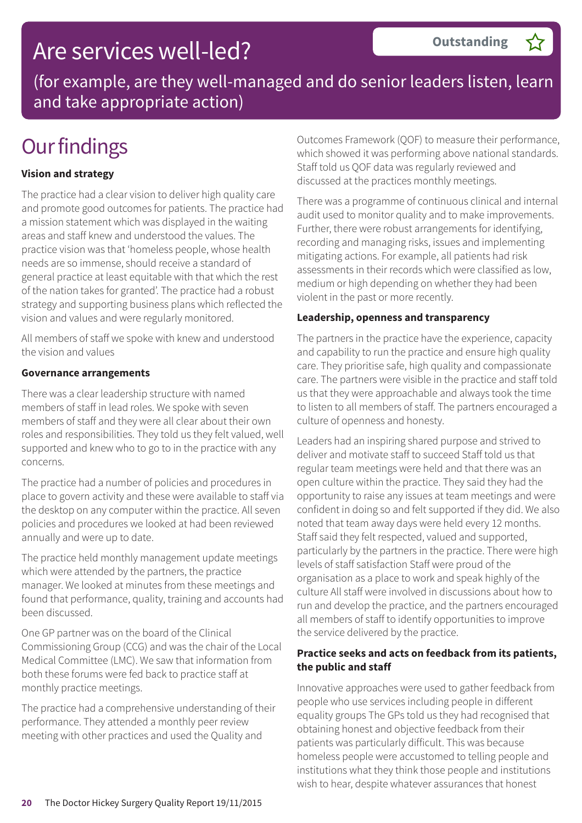## Are services well-led?

(for example, are they well-managed and do senior leaders listen, learn and take appropriate action)

## **Our findings**

#### **Vision and strategy**

The practice had a clear vision to deliver high quality care and promote good outcomes for patients. The practice had a mission statement which was displayed in the waiting areas and staff knew and understood the values. The practice vision was that 'homeless people, whose health needs are so immense, should receive a standard of general practice at least equitable with that which the rest of the nation takes for granted'. The practice had a robust strategy and supporting business plans which reflected the vision and values and were regularly monitored.

All members of staff we spoke with knew and understood the vision and values

#### **Governance arrangements**

There was a clear leadership structure with named members of staff in lead roles. We spoke with seven members of staff and they were all clear about their own roles and responsibilities. They told us they felt valued, well supported and knew who to go to in the practice with any concerns.

The practice had a number of policies and procedures in place to govern activity and these were available to staff via the desktop on any computer within the practice. All seven policies and procedures we looked at had been reviewed annually and were up to date.

The practice held monthly management update meetings which were attended by the partners, the practice manager. We looked at minutes from these meetings and found that performance, quality, training and accounts had been discussed.

One GP partner was on the board of the Clinical Commissioning Group (CCG) and was the chair of the Local Medical Committee (LMC). We saw that information from both these forums were fed back to practice staff at monthly practice meetings.

The practice had a comprehensive understanding of their performance. They attended a monthly peer review meeting with other practices and used the Quality and

Outcomes Framework (QOF) to measure their performance, which showed it was performing above national standards. Staff told us QOF data was regularly reviewed and discussed at the practices monthly meetings.

There was a programme of continuous clinical and internal audit used to monitor quality and to make improvements. Further, there were robust arrangements for identifying, recording and managing risks, issues and implementing mitigating actions. For example, all patients had risk assessments in their records which were classified as low, medium or high depending on whether they had been violent in the past or more recently.

#### **Leadership, openness and transparency**

The partners in the practice have the experience, capacity and capability to run the practice and ensure high quality care. They prioritise safe, high quality and compassionate care. The partners were visible in the practice and staff told us that they were approachable and always took the time to listen to all members of staff. The partners encouraged a culture of openness and honesty.

Leaders had an inspiring shared purpose and strived to deliver and motivate staff to succeed Staff told us that regular team meetings were held and that there was an open culture within the practice. They said they had the opportunity to raise any issues at team meetings and were confident in doing so and felt supported if they did. We also noted that team away days were held every 12 months. Staff said they felt respected, valued and supported, particularly by the partners in the practice. There were high levels of staff satisfaction Staff were proud of the organisation as a place to work and speak highly of the culture All staff were involved in discussions about how to run and develop the practice, and the partners encouraged all members of staff to identify opportunities to improve the service delivered by the practice.

#### **Practice seeks and acts on feedback from its patients, the public and staff**

Innovative approaches were used to gather feedback from people who use services including people in different equality groups The GPs told us they had recognised that obtaining honest and objective feedback from their patients was particularly difficult. This was because homeless people were accustomed to telling people and institutions what they think those people and institutions wish to hear, despite whatever assurances that honest